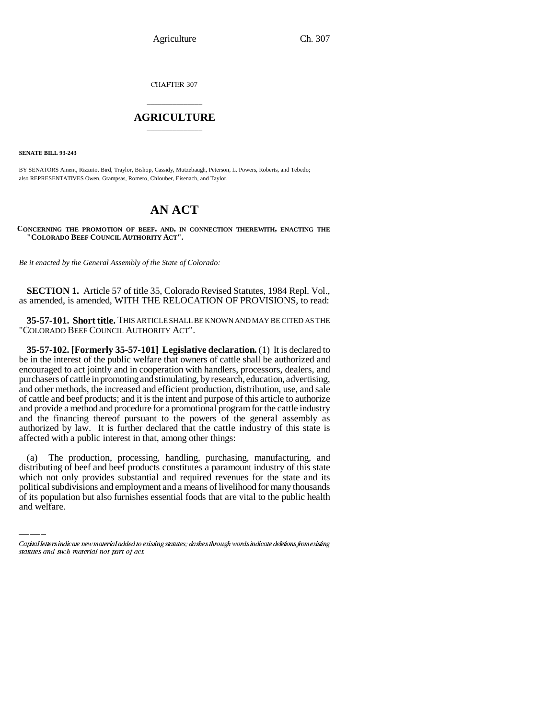Agriculture Ch. 307

CHAPTER 307

## \_\_\_\_\_\_\_\_\_\_\_\_\_\_\_ **AGRICULTURE** \_\_\_\_\_\_\_\_\_\_\_\_\_\_\_

**SENATE BILL 93-243**

BY SENATORS Ament, Rizzuto, Bird, Traylor, Bishop, Cassidy, Mutzebaugh, Peterson, L. Powers, Roberts, and Tebedo; also REPRESENTATIVES Owen, Grampsas, Romero, Chlouber, Eisenach, and Taylor.

# **AN ACT**

**CONCERNING THE PROMOTION OF BEEF, AND, IN CONNECTION THEREWITH, ENACTING THE "COLORADO BEEF COUNCIL AUTHORITY ACT".**

*Be it enacted by the General Assembly of the State of Colorado:*

**SECTION 1.** Article 57 of title 35, Colorado Revised Statutes, 1984 Repl. Vol., as amended, is amended, WITH THE RELOCATION OF PROVISIONS, to read:

**35-57-101. Short title.** THIS ARTICLE SHALL BE KNOWN AND MAY BE CITED AS THE "COLORADO BEEF COUNCIL AUTHORITY ACT".

**35-57-102. [Formerly 35-57-101] Legislative declaration.** (1) It is declared to be in the interest of the public welfare that owners of cattle shall be authorized and encouraged to act jointly and in cooperation with handlers, processors, dealers, and purchasers of cattle in promoting and stimulating, by research, education, advertising, and other methods, the increased and efficient production, distribution, use, and sale of cattle and beef products; and it is the intent and purpose of this article to authorize and provide a method and procedure for a promotional program for the cattle industry and the financing thereof pursuant to the powers of the general assembly as authorized by law. It is further declared that the cattle industry of this state is affected with a public interest in that, among other things:

distributing of beef and beef products constitutes a paramount industry of this state (a) The production, processing, handling, purchasing, manufacturing, and which not only provides substantial and required revenues for the state and its political subdivisions and employment and a means of livelihood for many thousands of its population but also furnishes essential foods that are vital to the public health and welfare.

Capital letters indicate new material added to existing statutes; dashes through words indicate deletions from existing statutes and such material not part of act.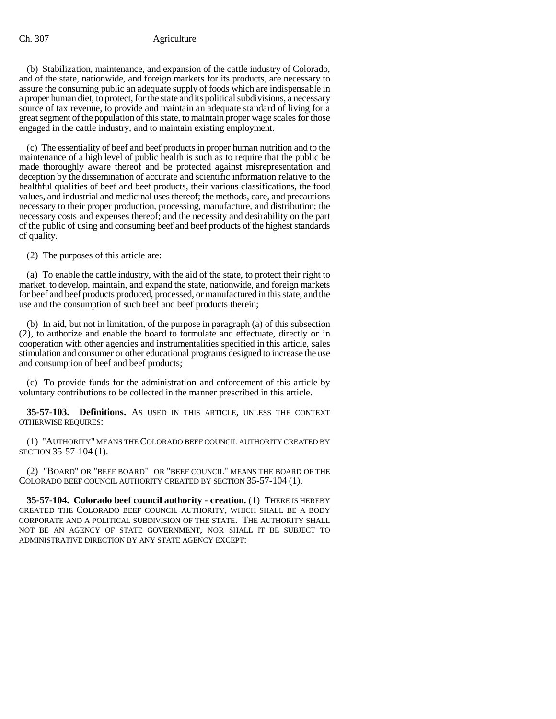### Ch. 307 Agriculture

(b) Stabilization, maintenance, and expansion of the cattle industry of Colorado, and of the state, nationwide, and foreign markets for its products, are necessary to assure the consuming public an adequate supply of foods which are indispensable in a proper human diet, to protect, for the state and its political subdivisions, a necessary source of tax revenue, to provide and maintain an adequate standard of living for a great segment of the population of this state, to maintain proper wage scales for those engaged in the cattle industry, and to maintain existing employment.

(c) The essentiality of beef and beef products in proper human nutrition and to the maintenance of a high level of public health is such as to require that the public be made thoroughly aware thereof and be protected against misrepresentation and deception by the dissemination of accurate and scientific information relative to the healthful qualities of beef and beef products, their various classifications, the food values, and industrial and medicinal uses thereof; the methods, care, and precautions necessary to their proper production, processing, manufacture, and distribution; the necessary costs and expenses thereof; and the necessity and desirability on the part of the public of using and consuming beef and beef products of the highest standards of quality.

(2) The purposes of this article are:

(a) To enable the cattle industry, with the aid of the state, to protect their right to market, to develop, maintain, and expand the state, nationwide, and foreign markets for beef and beef products produced, processed, or manufactured in this state, and the use and the consumption of such beef and beef products therein;

(b) In aid, but not in limitation, of the purpose in paragraph (a) of this subsection (2), to authorize and enable the board to formulate and effectuate, directly or in cooperation with other agencies and instrumentalities specified in this article, sales stimulation and consumer or other educational programs designed to increase the use and consumption of beef and beef products;

(c) To provide funds for the administration and enforcement of this article by voluntary contributions to be collected in the manner prescribed in this article.

**35-57-103. Definitions.** AS USED IN THIS ARTICLE, UNLESS THE CONTEXT OTHERWISE REQUIRES:

(1) "AUTHORITY" MEANS THE COLORADO BEEF COUNCIL AUTHORITY CREATED BY SECTION 35-57-104 (1).

(2) "BOARD" OR "BEEF BOARD" OR "BEEF COUNCIL" MEANS THE BOARD OF THE COLORADO BEEF COUNCIL AUTHORITY CREATED BY SECTION 35-57-104 (1).

**35-57-104. Colorado beef council authority - creation.** (1) THERE IS HEREBY CREATED THE COLORADO BEEF COUNCIL AUTHORITY, WHICH SHALL BE A BODY CORPORATE AND A POLITICAL SUBDIVISION OF THE STATE. THE AUTHORITY SHALL NOT BE AN AGENCY OF STATE GOVERNMENT, NOR SHALL IT BE SUBJECT TO ADMINISTRATIVE DIRECTION BY ANY STATE AGENCY EXCEPT: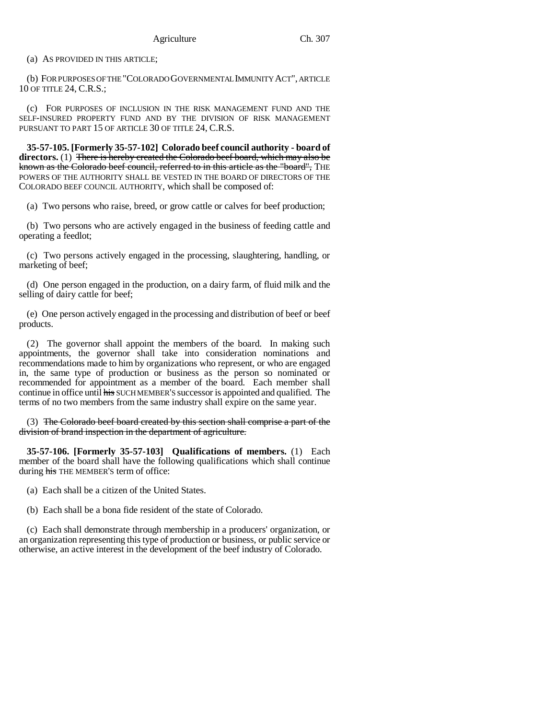(a) AS PROVIDED IN THIS ARTICLE;

(b) FOR PURPOSES OF THE "COLORADO GOVERNMENTAL IMMUNITY ACT", ARTICLE 10 OF TITLE 24, C.R.S.;

(c) FOR PURPOSES OF INCLUSION IN THE RISK MANAGEMENT FUND AND THE SELF-INSURED PROPERTY FUND AND BY THE DIVISION OF RISK MANAGEMENT PURSUANT TO PART 15 OF ARTICLE 30 OF TITLE 24, C.R.S.

**35-57-105. [Formerly 35-57-102] Colorado beef council authority - board of directors.** (1) There is hereby created the Colorado beef board, which may also be known as the Colorado beef council, referred to in this article as the "board", THE POWERS OF THE AUTHORITY SHALL BE VESTED IN THE BOARD OF DIRECTORS OF THE COLORADO BEEF COUNCIL AUTHORITY, which shall be composed of:

(a) Two persons who raise, breed, or grow cattle or calves for beef production;

(b) Two persons who are actively engaged in the business of feeding cattle and operating a feedlot;

(c) Two persons actively engaged in the processing, slaughtering, handling, or marketing of beef;

(d) One person engaged in the production, on a dairy farm, of fluid milk and the selling of dairy cattle for beef;

(e) One person actively engaged in the processing and distribution of beef or beef products.

(2) The governor shall appoint the members of the board. In making such appointments, the governor shall take into consideration nominations and recommendations made to him by organizations who represent, or who are engaged in, the same type of production or business as the person so nominated or recommended for appointment as a member of the board. Each member shall continue in office until his SUCH MEMBER'S successor is appointed and qualified. The terms of no two members from the same industry shall expire on the same year.

(3) The Colorado beef board created by this section shall comprise a part of the division of brand inspection in the department of agriculture.

**35-57-106. [Formerly 35-57-103] Qualifications of members.** (1) Each member of the board shall have the following qualifications which shall continue during his THE MEMBER'S term of office:

(a) Each shall be a citizen of the United States.

(b) Each shall be a bona fide resident of the state of Colorado.

(c) Each shall demonstrate through membership in a producers' organization, or an organization representing this type of production or business, or public service or otherwise, an active interest in the development of the beef industry of Colorado.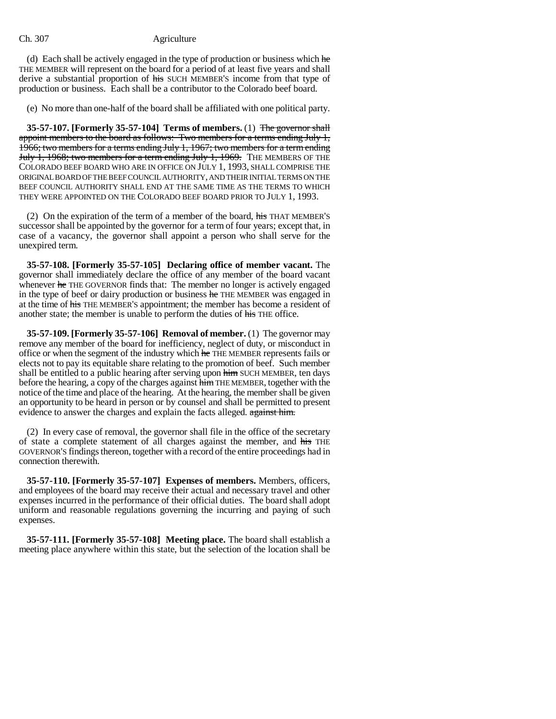#### Ch. 307 Agriculture

(d) Each shall be actively engaged in the type of production or business which  $he$ THE MEMBER will represent on the board for a period of at least five years and shall derive a substantial proportion of his SUCH MEMBER'S income from that type of production or business. Each shall be a contributor to the Colorado beef board.

(e) No more than one-half of the board shall be affiliated with one political party.

**35-57-107. [Formerly 35-57-104] Terms of members.** (1) The governor shall appoint members to the board as follows: Two members for a terms ending July 1, 1966; two members for a terms ending July 1, 1967; two members for a term ending July 1, 1968; two members for a term ending July 1, 1969. THE MEMBERS OF THE COLORADO BEEF BOARD WHO ARE IN OFFICE ON JULY 1, 1993, SHALL COMPRISE THE ORIGINAL BOARD OF THE BEEF COUNCIL AUTHORITY, AND THEIR INITIAL TERMS ON THE BEEF COUNCIL AUTHORITY SHALL END AT THE SAME TIME AS THE TERMS TO WHICH THEY WERE APPOINTED ON THE COLORADO BEEF BOARD PRIOR TO JULY 1, 1993.

(2) On the expiration of the term of a member of the board,  $\overline{his}$  THAT MEMBER'S successor shall be appointed by the governor for a term of four years; except that, in case of a vacancy, the governor shall appoint a person who shall serve for the unexpired term.

**35-57-108. [Formerly 35-57-105] Declaring office of member vacant.** The governor shall immediately declare the office of any member of the board vacant whenever he THE GOVERNOR finds that: The member no longer is actively engaged in the type of beef or dairy production or business he THE MEMBER was engaged in at the time of his THE MEMBER'S appointment; the member has become a resident of another state; the member is unable to perform the duties of his THE office.

**35-57-109. [Formerly 35-57-106] Removal of member.** (1) The governor may remove any member of the board for inefficiency, neglect of duty, or misconduct in office or when the segment of the industry which he THE MEMBER represents fails or elects not to pay its equitable share relating to the promotion of beef. Such member shall be entitled to a public hearing after serving upon him SUCH MEMBER, ten days before the hearing, a copy of the charges against him THE MEMBER, together with the notice of the time and place of the hearing. At the hearing, the member shall be given an opportunity to be heard in person or by counsel and shall be permitted to present evidence to answer the charges and explain the facts alleged. against him.

(2) In every case of removal, the governor shall file in the office of the secretary of state a complete statement of all charges against the member, and his THE GOVERNOR'S findings thereon, together with a record of the entire proceedings had in connection therewith.

**35-57-110. [Formerly 35-57-107] Expenses of members.** Members, officers, and employees of the board may receive their actual and necessary travel and other expenses incurred in the performance of their official duties. The board shall adopt uniform and reasonable regulations governing the incurring and paying of such expenses.

**35-57-111. [Formerly 35-57-108] Meeting place.** The board shall establish a meeting place anywhere within this state, but the selection of the location shall be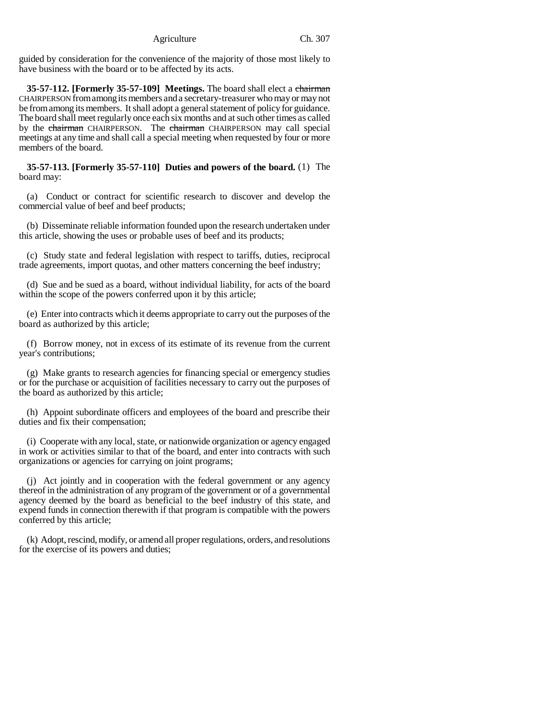guided by consideration for the convenience of the majority of those most likely to have business with the board or to be affected by its acts.

**35-57-112. [Formerly 35-57-109] Meetings.** The board shall elect a chairman CHAIRPERSON from among its members and a secretary-treasurer who may or may not be from among its members. It shall adopt a general statement of policy for guidance. The board shall meet regularly once each six months and at such other times as called by the chairman CHAIRPERSON. The chairman CHAIRPERSON may call special meetings at any time and shall call a special meeting when requested by four or more members of the board.

**35-57-113. [Formerly 35-57-110] Duties and powers of the board.** (1) The board may:

(a) Conduct or contract for scientific research to discover and develop the commercial value of beef and beef products;

(b) Disseminate reliable information founded upon the research undertaken under this article, showing the uses or probable uses of beef and its products;

(c) Study state and federal legislation with respect to tariffs, duties, reciprocal trade agreements, import quotas, and other matters concerning the beef industry;

(d) Sue and be sued as a board, without individual liability, for acts of the board within the scope of the powers conferred upon it by this article;

(e) Enter into contracts which it deems appropriate to carry out the purposes of the board as authorized by this article;

(f) Borrow money, not in excess of its estimate of its revenue from the current year's contributions;

(g) Make grants to research agencies for financing special or emergency studies or for the purchase or acquisition of facilities necessary to carry out the purposes of the board as authorized by this article;

(h) Appoint subordinate officers and employees of the board and prescribe their duties and fix their compensation;

(i) Cooperate with any local, state, or nationwide organization or agency engaged in work or activities similar to that of the board, and enter into contracts with such organizations or agencies for carrying on joint programs;

(j) Act jointly and in cooperation with the federal government or any agency thereof in the administration of any program of the government or of a governmental agency deemed by the board as beneficial to the beef industry of this state, and expend funds in connection therewith if that program is compatible with the powers conferred by this article;

(k) Adopt, rescind, modify, or amend all proper regulations, orders, and resolutions for the exercise of its powers and duties;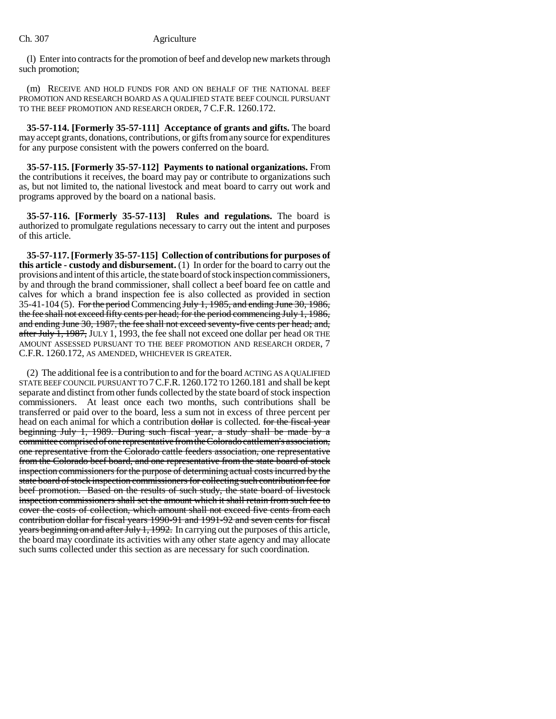### Ch. 307 Agriculture

(l) Enter into contracts for the promotion of beef and develop new markets through such promotion;

(m) RECEIVE AND HOLD FUNDS FOR AND ON BEHALF OF THE NATIONAL BEEF PROMOTION AND RESEARCH BOARD AS A QUALIFIED STATE BEEF COUNCIL PURSUANT TO THE BEEF PROMOTION AND RESEARCH ORDER, 7 C.F.R. 1260.172.

**35-57-114. [Formerly 35-57-111] Acceptance of grants and gifts.** The board may accept grants, donations, contributions, or gifts from any source for expenditures for any purpose consistent with the powers conferred on the board.

**35-57-115. [Formerly 35-57-112] Payments to national organizations.** From the contributions it receives, the board may pay or contribute to organizations such as, but not limited to, the national livestock and meat board to carry out work and programs approved by the board on a national basis.

**35-57-116. [Formerly 35-57-113] Rules and regulations.** The board is authorized to promulgate regulations necessary to carry out the intent and purposes of this article.

**35-57-117. [Formerly 35-57-115] Collection of contributions for purposes of this article - custody and disbursement.** (1) In order for the board to carry out the provisions and intent of this article, the state board of stock inspection commissioners, by and through the brand commissioner, shall collect a beef board fee on cattle and calves for which a brand inspection fee is also collected as provided in section 35-41-104 (5). For the period Commencing July 1, 1985, and ending June 30, 1986, the fee shall not exceed fifty cents per head; for the period commencing July 1, 1986, and ending June 30, 1987, the fee shall not exceed seventy-five cents per head; and, after July  $\overline{1}$ , 1987, JULY 1, 1993, the fee shall not exceed one dollar per head OR THE AMOUNT ASSESSED PURSUANT TO THE BEEF PROMOTION AND RESEARCH ORDER, 7 C.F.R. 1260.172, AS AMENDED, WHICHEVER IS GREATER.

(2) The additional fee is a contribution to and for the board ACTING AS A QUALIFIED STATE BEEF COUNCIL PURSUANT TO 7C.F.R. 1260.172 TO 1260.181 and shall be kept separate and distinct from other funds collected by the state board of stock inspection commissioners. At least once each two months, such contributions shall be transferred or paid over to the board, less a sum not in excess of three percent per head on each animal for which a contribution dollar is collected. for the fiscal year beginning July 1, 1989. During such fiscal year, a study shall be made by a committee comprised of one representative from the Colorado cattlemen's association, one representative from the Colorado cattle feeders association, one representative from the Colorado beef board, and one representative from the state board of stock inspection commissioners for the purpose of determining actual costs incurred by the state board of stock inspection commissioners for collecting such contribution fee for beef promotion. Based on the results of such study, the state board of livestock inspection commissioners shall set the amount which it shall retain from such fee to cover the costs of collection, which amount shall not exceed five cents from each contribution dollar for fiscal years 1990-91 and 1991-92 and seven cents for fiscal years beginning on and after July 1, 1992. In carrying out the purposes of this article, the board may coordinate its activities with any other state agency and may allocate such sums collected under this section as are necessary for such coordination.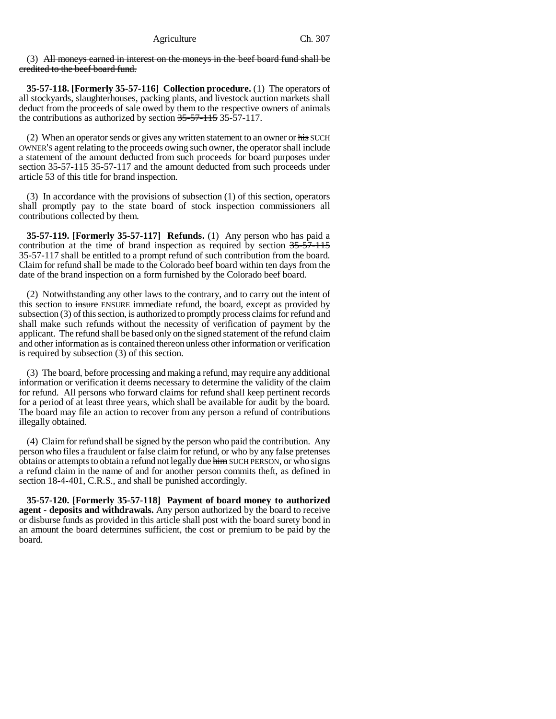(3) All moneys earned in interest on the moneys in the beef board fund shall be credited to the beef board fund.

**35-57-118. [Formerly 35-57-116] Collection procedure.** (1) The operators of all stockyards, slaughterhouses, packing plants, and livestock auction markets shall deduct from the proceeds of sale owed by them to the respective owners of animals the contributions as authorized by section 35-57-115 35-57-117.

(2) When an operator sends or gives any written statement to an owner or  $\frac{1}{115}$  SUCH OWNER'S agent relating to the proceeds owing such owner, the operator shall include a statement of the amount deducted from such proceeds for board purposes under section 35-57-115 35-57-117 and the amount deducted from such proceeds under article 53 of this title for brand inspection.

(3) In accordance with the provisions of subsection (1) of this section, operators shall promptly pay to the state board of stock inspection commissioners all contributions collected by them.

**35-57-119. [Formerly 35-57-117] Refunds.** (1) Any person who has paid a contribution at the time of brand inspection as required by section 35-57-115 35-57-117 shall be entitled to a prompt refund of such contribution from the board. Claim for refund shall be made to the Colorado beef board within ten days from the date of the brand inspection on a form furnished by the Colorado beef board.

(2) Notwithstanding any other laws to the contrary, and to carry out the intent of this section to insure ENSURE immediate refund, the board, except as provided by subsection (3) of this section, is authorized to promptly process claims for refund and shall make such refunds without the necessity of verification of payment by the applicant. The refund shall be based only on the signed statement of the refund claim and other information as is contained thereon unless other information or verification is required by subsection (3) of this section.

(3) The board, before processing and making a refund, may require any additional information or verification it deems necessary to determine the validity of the claim for refund. All persons who forward claims for refund shall keep pertinent records for a period of at least three years, which shall be available for audit by the board. The board may file an action to recover from any person a refund of contributions illegally obtained.

(4) Claim for refund shall be signed by the person who paid the contribution. Any person who files a fraudulent or false claim for refund, or who by any false pretenses obtains or attempts to obtain a refund not legally due him SUCH PERSON, or who signs a refund claim in the name of and for another person commits theft, as defined in section 18-4-401, C.R.S., and shall be punished accordingly.

**35-57-120. [Formerly 35-57-118] Payment of board money to authorized agent - deposits and withdrawals.** Any person authorized by the board to receive or disburse funds as provided in this article shall post with the board surety bond in an amount the board determines sufficient, the cost or premium to be paid by the board.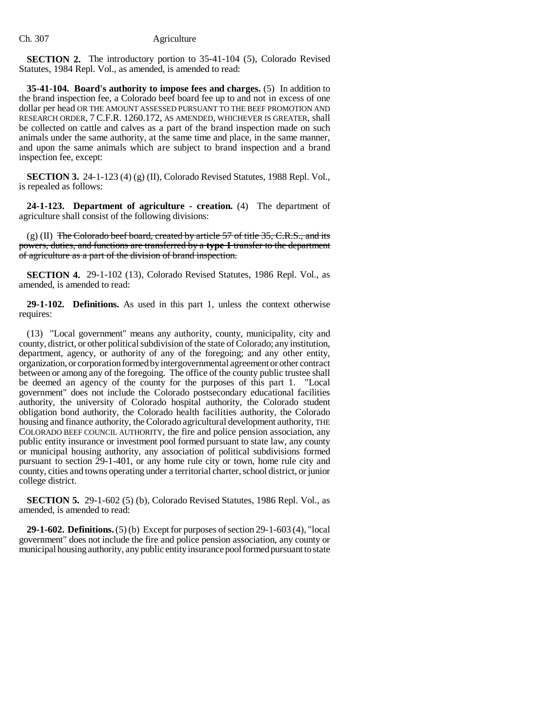**SECTION 2.** The introductory portion to 35-41-104 (5), Colorado Revised Statutes, 1984 Repl. Vol., as amended, is amended to read:

**35-41-104. Board's authority to impose fees and charges.** (5) In addition to the brand inspection fee, a Colorado beef board fee up to and not in excess of one dollar per head OR THE AMOUNT ASSESSED PURSUANT TO THE BEEF PROMOTION AND RESEARCH ORDER, 7 C.F.R. 1260.172, AS AMENDED, WHICHEVER IS GREATER, shall be collected on cattle and calves as a part of the brand inspection made on such animals under the same authority, at the same time and place, in the same manner, and upon the same animals which are subject to brand inspection and a brand inspection fee, except:

**SECTION 3.** 24-1-123 (4) (g) (II), Colorado Revised Statutes, 1988 Repl. Vol., is repealed as follows:

**24-1-123. Department of agriculture - creation.** (4) The department of agriculture shall consist of the following divisions:

 $(g)$  (II) The Colorado beef board, created by article 57 of title 35, C.R.S., and its powers, duties, and functions are transferred by a **type 1** transfer to the department of agriculture as a part of the division of brand inspection.

**SECTION 4.** 29-1-102 (13), Colorado Revised Statutes, 1986 Repl. Vol., as amended, is amended to read:

**29-1-102. Definitions.** As used in this part 1, unless the context otherwise requires:

(13) "Local government" means any authority, county, municipality, city and county, district, or other political subdivision of the state of Colorado; any institution, department, agency, or authority of any of the foregoing; and any other entity, organization, or corporation formed by intergovernmental agreement or other contract between or among any of the foregoing. The office of the county public trustee shall be deemed an agency of the county for the purposes of this part 1. "Local government" does not include the Colorado postsecondary educational facilities authority, the university of Colorado hospital authority, the Colorado student obligation bond authority, the Colorado health facilities authority, the Colorado housing and finance authority, the Colorado agricultural development authority, THE COLORADO BEEF COUNCIL AUTHORITY, the fire and police pension association, any public entity insurance or investment pool formed pursuant to state law, any county or municipal housing authority, any association of political subdivisions formed pursuant to section 29-1-401, or any home rule city or town, home rule city and county, cities and towns operating under a territorial charter, school district, or junior college district.

**SECTION 5.** 29-1-602 (5) (b), Colorado Revised Statutes, 1986 Repl. Vol., as amended, is amended to read:

**29-1-602. Definitions.** (5) (b) Except for purposes of section 29-1-603 (4), "local government" does not include the fire and police pension association, any county or municipal housing authority, any public entity insurance pool formed pursuant to state